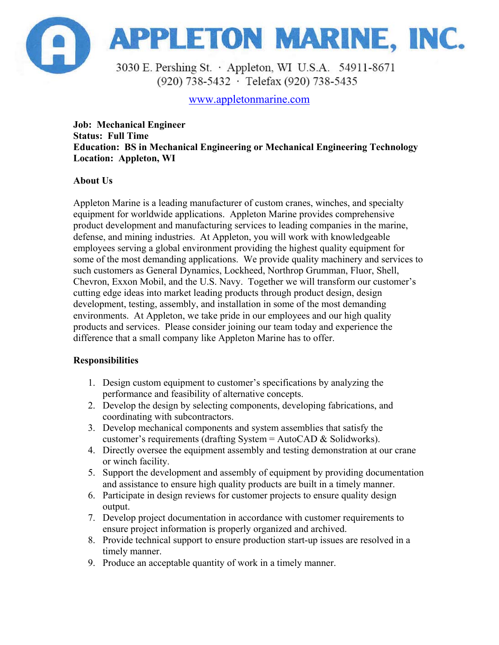

(920) 738-5432 · Telefax (920) 738-5435

www.appletonmarine.com

**Job: Mechanical Engineer Status: Full Time Education: BS in Mechanical Engineering or Mechanical Engineering Technology Location: Appleton, WI** 

## **About Us**

Appleton Marine is a leading manufacturer of custom cranes, winches, and specialty equipment for worldwide applications. Appleton Marine provides comprehensive product development and manufacturing services to leading companies in the marine, defense, and mining industries. At Appleton, you will work with knowledgeable employees serving a global environment providing the highest quality equipment for some of the most demanding applications. We provide quality machinery and services to such customers as General Dynamics, Lockheed, Northrop Grumman, Fluor, Shell, Chevron, Exxon Mobil, and the U.S. Navy. Together we will transform our customer's cutting edge ideas into market leading products through product design, design development, testing, assembly, and installation in some of the most demanding environments. At Appleton, we take pride in our employees and our high quality products and services. Please consider joining our team today and experience the difference that a small company like Appleton Marine has to offer.

## **Responsibilities**

- 1. Design custom equipment to customer's specifications by analyzing the performance and feasibility of alternative concepts.
- 2. Develop the design by selecting components, developing fabrications, and coordinating with subcontractors.
- 3. Develop mechanical components and system assemblies that satisfy the customer's requirements (drafting System = AutoCAD & Solidworks).
- 4. Directly oversee the equipment assembly and testing demonstration at our crane or winch facility.
- 5. Support the development and assembly of equipment by providing documentation and assistance to ensure high quality products are built in a timely manner.
- 6. Participate in design reviews for customer projects to ensure quality design output.
- 7. Develop project documentation in accordance with customer requirements to ensure project information is properly organized and archived.
- 8. Provide technical support to ensure production start-up issues are resolved in a timely manner.
- 9. Produce an acceptable quantity of work in a timely manner.